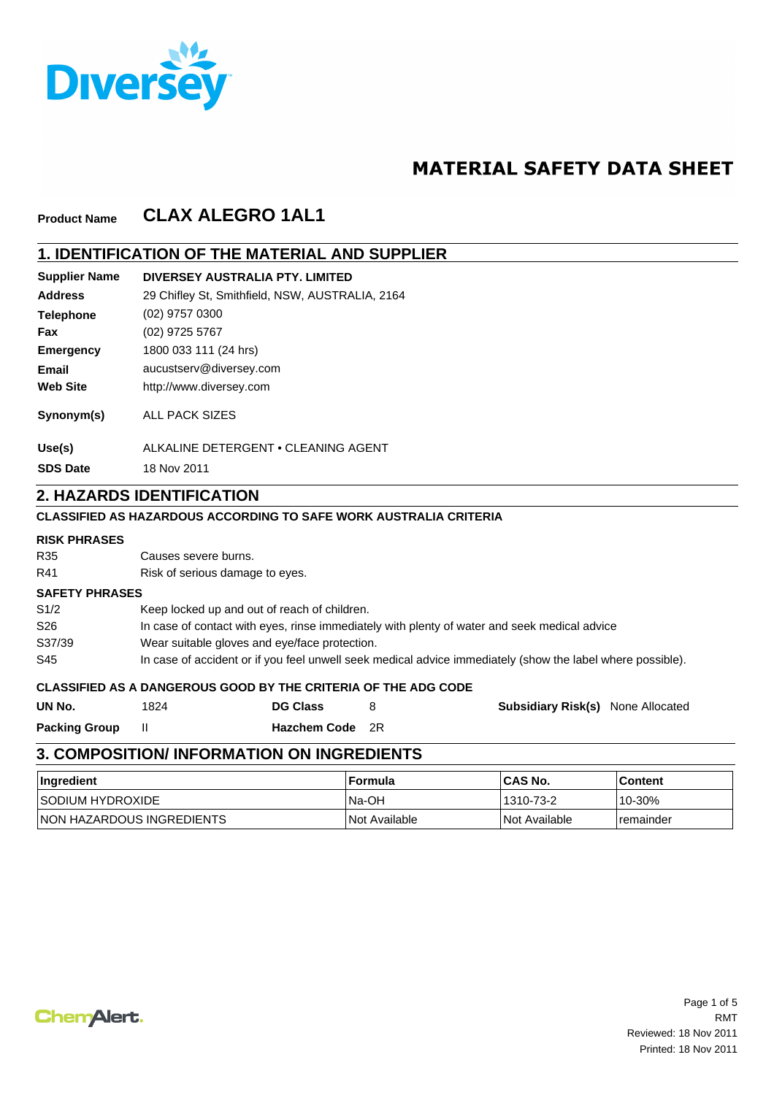

# **MATERIAL SAFETY DATA SHEET**

#### **CLAX ALEGRO 1AL1 Product Name**

## **1. IDENTIFICATION OF THE MATERIAL AND SUPPLIER**

| <b>Supplier Name</b> | DIVERSEY AUSTRALIA PTY. LIMITED                 |
|----------------------|-------------------------------------------------|
| <b>Address</b>       | 29 Chifley St, Smithfield, NSW, AUSTRALIA, 2164 |
| <b>Telephone</b>     | (02) 9757 0300                                  |
| Fax                  | (02) 9725 5767                                  |
| <b>Emergency</b>     | 1800 033 111 (24 hrs)                           |
| Email                | aucustserv@diversey.com                         |
| <b>Web Site</b>      | http://www.diversey.com                         |
| Synonym(s)           | ALL PACK SIZES                                  |
| Use(s)               | ALKALINE DETERGENT . CLEANING AGENT             |
| <b>SDS Date</b>      | 18 Nov 2011                                     |

## **2. HAZARDS IDENTIFICATION**

### **CLASSIFIED AS HAZARDOUS ACCORDING TO SAFE WORK AUSTRALIA CRITERIA**

### **RISK PHRASES**

| R35                   | Causes severe burns.            |                                                                |   |                                                                                                            |
|-----------------------|---------------------------------|----------------------------------------------------------------|---|------------------------------------------------------------------------------------------------------------|
| R41                   | Risk of serious damage to eyes. |                                                                |   |                                                                                                            |
| <b>SAFETY PHRASES</b> |                                 |                                                                |   |                                                                                                            |
| S1/2                  |                                 | Keep locked up and out of reach of children.                   |   |                                                                                                            |
| S26                   |                                 |                                                                |   | In case of contact with eyes, rinse immediately with plenty of water and seek medical advice               |
| S37/39                |                                 | Wear suitable gloves and eye/face protection.                  |   |                                                                                                            |
| S45                   |                                 |                                                                |   | In case of accident or if you feel unwell seek medical advice immediately (show the label where possible). |
|                       |                                 | CLASSIFIED AS A DANGEROUS GOOD BY THE CRITERIA OF THE ADG CODE |   |                                                                                                            |
| UN No.                | 1824                            | <b>DG Class</b>                                                | 8 | <b>Subsidiary Risk(s)</b> None Allocated                                                                   |

II **Hazchem Code** 2R **UN No. Packing Group DG Class**

# **3. COMPOSITION/ INFORMATION ON INGREDIENTS**

| ∣Ingredient                       | ∣ Formula     | <b>ICAS No.</b>      | l Content |
|-----------------------------------|---------------|----------------------|-----------|
| <b>ISODIUM HYDROXIDE</b>          | Na-OH         | 1310-73-2            | 10-30%    |
| <b>INON HAZARDOUS INGREDIENTS</b> | Not Available | <b>Not Available</b> | remainder |

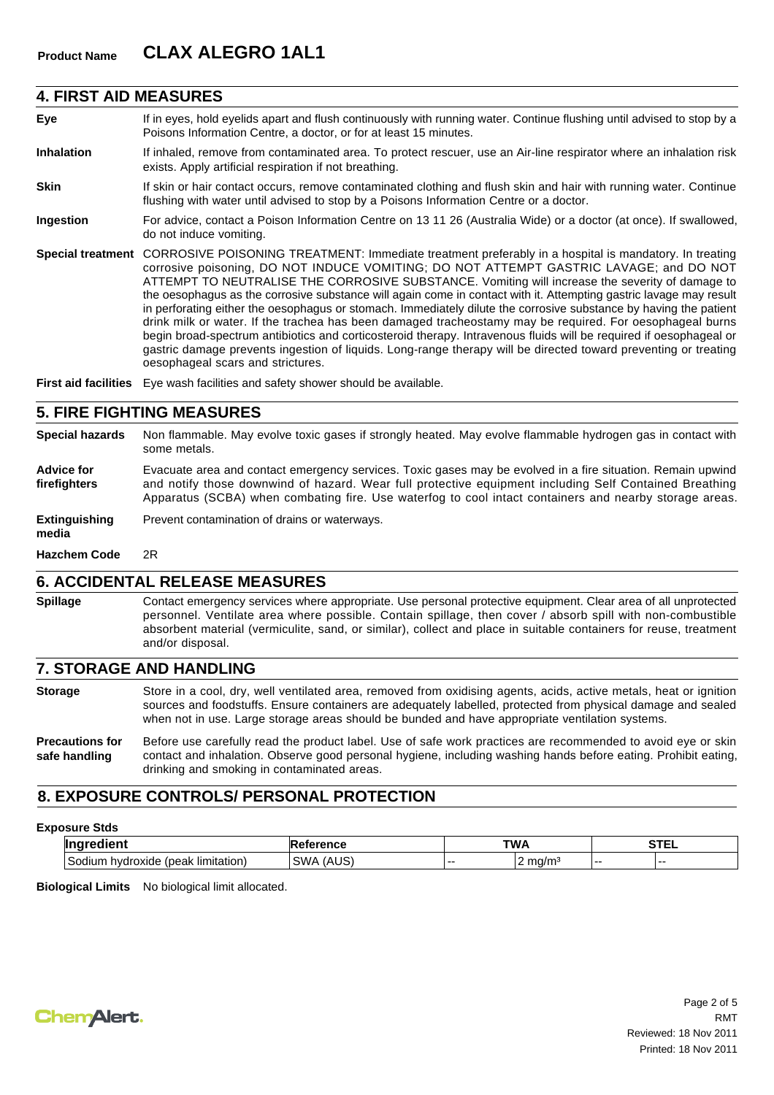### **4. FIRST AID MEASURES**

- **Eye** If in eyes, hold eyelids apart and flush continuously with running water. Continue flushing until advised to stop by a Poisons Information Centre, a doctor, or for at least 15 minutes.
- **Inhalation** If inhaled, remove from contaminated area. To protect rescuer, use an Air-line respirator where an inhalation risk exists. Apply artificial respiration if not breathing.
- **Skin** If skin or hair contact occurs, remove contaminated clothing and flush skin and hair with running water. Continue flushing with water until advised to stop by a Poisons Information Centre or a doctor.
- **Ingestion** For advice, contact a Poison Information Centre on 13 11 26 (Australia Wide) or a doctor (at once). If swallowed, do not induce vomiting.
- **Special treatment** CORROSIVE POISONING TREATMENT: Immediate treatment preferably in a hospital is mandatory. In treating corrosive poisoning, DO NOT INDUCE VOMITING; DO NOT ATTEMPT GASTRIC LAVAGE; and DO NOT ATTEMPT TO NEUTRALISE THE CORROSIVE SUBSTANCE. Vomiting will increase the severity of damage to the oesophagus as the corrosive substance will again come in contact with it. Attempting gastric lavage may result in perforating either the oesophagus or stomach. Immediately dilute the corrosive substance by having the patient drink milk or water. If the trachea has been damaged tracheostamy may be required. For oesophageal burns begin broad-spectrum antibiotics and corticosteroid therapy. Intravenous fluids will be required if oesophageal or gastric damage prevents ingestion of liquids. Long-range therapy will be directed toward preventing or treating oesophageal scars and strictures.

**First aid facilities** Eye wash facilities and safety shower should be available.

### **5. FIRE FIGHTING MEASURES**

- **Special hazards** Non flammable. May evolve toxic gases if strongly heated. May evolve flammable hydrogen gas in contact with some metals.
- **Advice for firefighters** Evacuate area and contact emergency services. Toxic gases may be evolved in a fire situation. Remain upwind and notify those downwind of hazard. Wear full protective equipment including Self Contained Breathing Apparatus (SCBA) when combating fire. Use waterfog to cool intact containers and nearby storage areas.

**Extinguishing** Prevent contamination of drains or waterways.

**media**

**Hazchem Code** 2R

## **6. ACCIDENTAL RELEASE MEASURES**

**Spillage** Contact emergency services where appropriate. Use personal protective equipment. Clear area of all unprotected personnel. Ventilate area where possible. Contain spillage, then cover / absorb spill with non-combustible absorbent material (vermiculite, sand, or similar), collect and place in suitable containers for reuse, treatment and/or disposal.

### **7. STORAGE AND HANDLING**

- Store in a cool, dry, well ventilated area, removed from oxidising agents, acids, active metals, heat or ignition sources and foodstuffs. Ensure containers are adequately labelled, protected from physical damage and sealed when not in use. Large storage areas should be bunded and have appropriate ventilation systems. **Storage**
- **Precautions for safe handling** Before use carefully read the product label. Use of safe work practices are recommended to avoid eye or skin contact and inhalation. Observe good personal hygiene, including washing hands before eating. Prohibit eating, drinking and smoking in contaminated areas.

## **8. EXPOSURE CONTROLS/ PERSONAL PROTECTION**

#### **Exposure Stds**

| -----                                                 | ence                          | TWA |      | <b>CTC</b><br>. |   |
|-------------------------------------------------------|-------------------------------|-----|------|-----------------|---|
| -<br>limitation<br>droxide<br>(beak<br>hvdi<br>111 Ir | 51101<br>SIML<br>ו ב <i>ו</i> | .   | ma/m | .               | . |

**Biological Limits** No biological limit allocated.

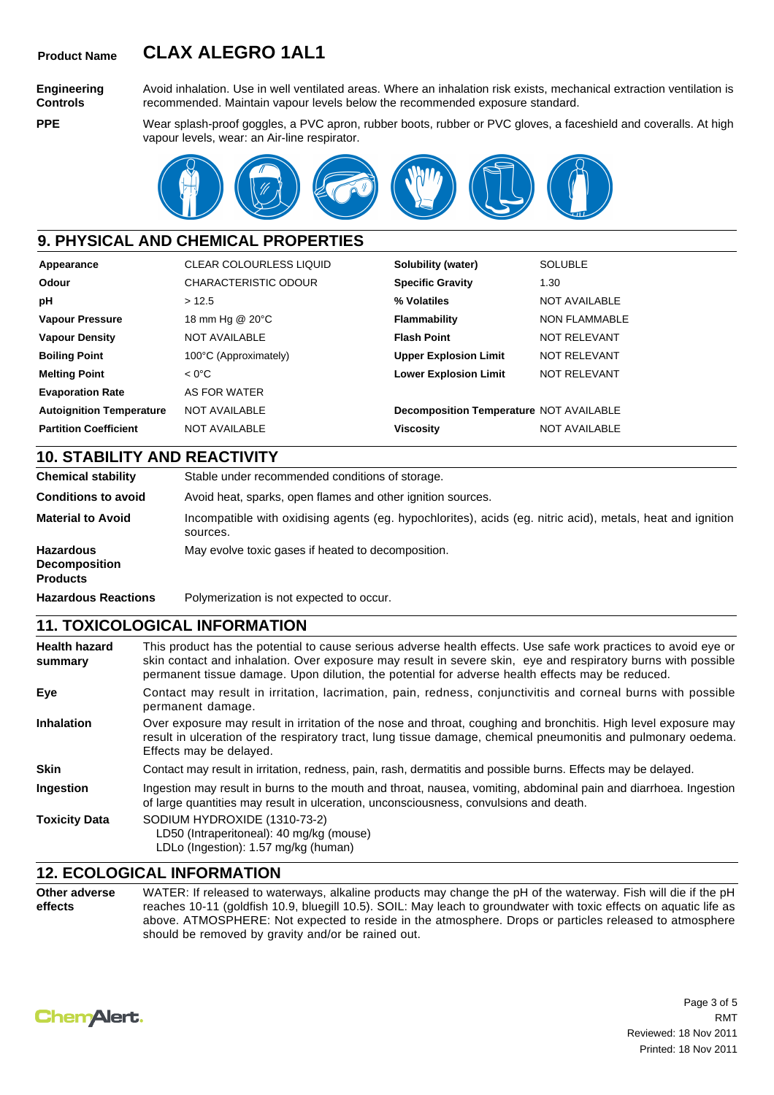# **Product Name CLAX ALEGRO 1AL1**

**Engineering Controls PPE**

Avoid inhalation. Use in well ventilated areas. Where an inhalation risk exists, mechanical extraction ventilation is recommended. Maintain vapour levels below the recommended exposure standard.

Wear splash-proof goggles, a PVC apron, rubber boots, rubber or PVC gloves, a faceshield and coveralls. At high vapour levels, wear: an Air-line respirator.



## **9. PHYSICAL AND CHEMICAL PROPERTIES**

| Appearance                      | <b>CLEAR COLOURLESS LIQUID</b> | Solubility (water)                             | <b>SOLUBLE</b>       |
|---------------------------------|--------------------------------|------------------------------------------------|----------------------|
| Odour                           | <b>CHARACTERISTIC ODOUR</b>    | <b>Specific Gravity</b>                        | 1.30                 |
| рH                              | >12.5                          | % Volatiles                                    | <b>NOT AVAILABLE</b> |
| <b>Vapour Pressure</b>          | 18 mm Hg @ 20°C                | Flammability                                   | <b>NON FLAMMABLE</b> |
| <b>Vapour Density</b>           | <b>NOT AVAILABLE</b>           | <b>Flash Point</b>                             | NOT RELEVANT         |
| <b>Boiling Point</b>            | 100°C (Approximately)          | <b>Upper Explosion Limit</b>                   | NOT RELEVANT         |
| <b>Melting Point</b>            | $< 0^{\circ}$ C                | <b>Lower Explosion Limit</b>                   | NOT RELEVANT         |
| <b>Evaporation Rate</b>         | AS FOR WATER                   |                                                |                      |
| <b>Autoignition Temperature</b> | NOT AVAILABLE                  | <b>Decomposition Temperature NOT AVAILABLE</b> |                      |
| <b>Partition Coefficient</b>    | <b>NOT AVAILABLE</b>           | <b>Viscosity</b>                               | <b>NOT AVAILABLE</b> |

## **10. STABILITY AND REACTIVITY**

**Chemical stability** Stable under recommended conditions of storage. **Conditions to avoid** Avoid heat, sparks, open flames and other ignition sources. **Material to Avoid** Incompatible with oxidising agents (eg. hypochlorites), acids (eg. nitric acid), metals, heat and ignition sources. **Hazardous Decomposition Products** May evolve toxic gases if heated to decomposition. **Hazardous Reactions** Polymerization is not expected to occur.

## **11. TOXICOLOGICAL INFORMATION**

| <b>Health hazard</b><br>summary | This product has the potential to cause serious adverse health effects. Use safe work practices to avoid eye or<br>skin contact and inhalation. Over exposure may result in severe skin, eye and respiratory burns with possible<br>permanent tissue damage. Upon dilution, the potential for adverse health effects may be reduced. |
|---------------------------------|--------------------------------------------------------------------------------------------------------------------------------------------------------------------------------------------------------------------------------------------------------------------------------------------------------------------------------------|
| Eye                             | Contact may result in irritation, lacrimation, pain, redness, conjunctivitis and corneal burns with possible<br>permanent damage.                                                                                                                                                                                                    |
| <b>Inhalation</b>               | Over exposure may result in irritation of the nose and throat, coughing and bronchitis. High level exposure may<br>result in ulceration of the respiratory tract, lung tissue damage, chemical pneumonitis and pulmonary oedema.<br>Effects may be delayed.                                                                          |
| <b>Skin</b>                     | Contact may result in irritation, redness, pain, rash, dermatitis and possible burns. Effects may be delayed.                                                                                                                                                                                                                        |
| Ingestion                       | Ingestion may result in burns to the mouth and throat, nausea, vomiting, abdominal pain and diarrhoea. Ingestion<br>of large quantities may result in ulceration, unconsciousness, convulsions and death.                                                                                                                            |
| <b>Toxicity Data</b>            | SODIUM HYDROXIDE (1310-73-2)<br>LD50 (Intraperitoneal): 40 mg/kg (mouse)<br>LDLo (Ingestion): 1.57 mg/kg (human)                                                                                                                                                                                                                     |

## **12. ECOLOGICAL INFORMATION**

**Other adverse effects** WATER: If released to waterways, alkaline products may change the pH of the waterway. Fish will die if the pH reaches 10-11 (goldfish 10.9, bluegill 10.5). SOIL: May leach to groundwater with toxic effects on aquatic life as above. ATMOSPHERE: Not expected to reside in the atmosphere. Drops or particles released to atmosphere should be removed by gravity and/or be rained out.



Page 3 of 5 Reviewed: 18 Nov 2011 Printed: 18 Nov 2011 RMT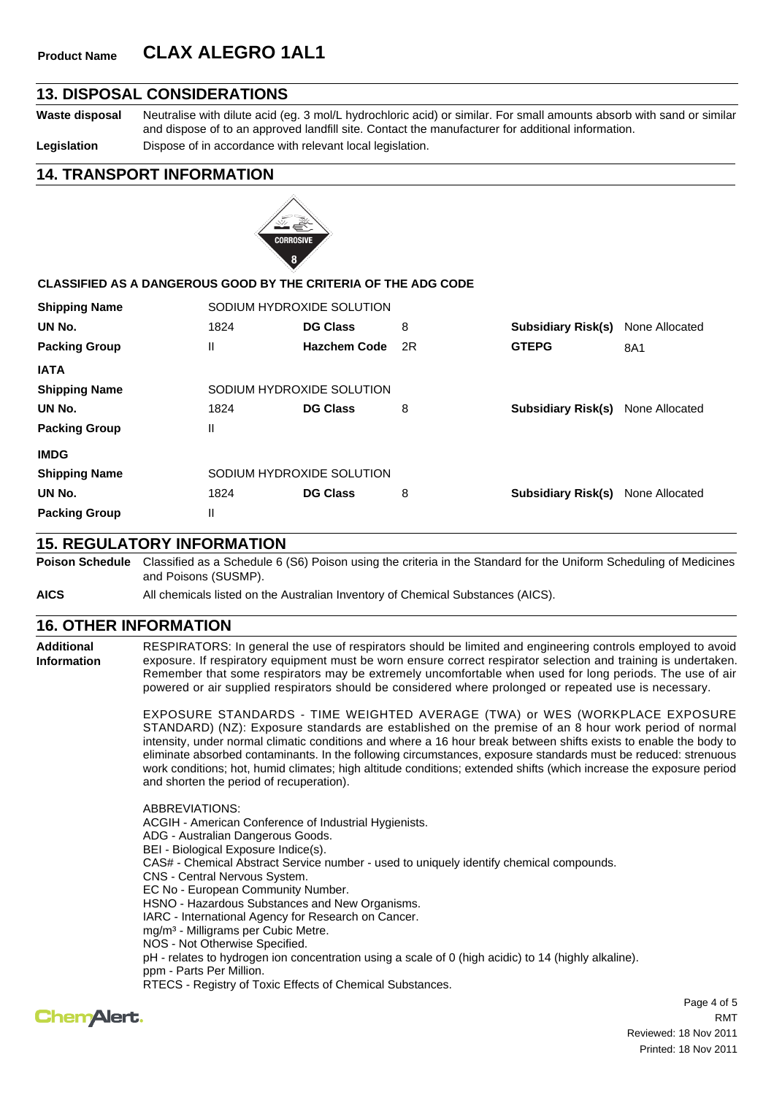# **Product Name CLAX ALEGRO 1AL1**

## **13. DISPOSAL CONSIDERATIONS**

**Waste disposal** Neutralise with dilute acid (eg. 3 mol/L hydrochloric acid) or similar. For small amounts absorb with sand or similar

and dispose of to an approved landfill site. Contact the manufacturer for additional information.

Legislation **Dispose of in accordance with relevant local legislation.** 

**14. TRANSPORT INFORMATION**



### **CLASSIFIED AS A DANGEROUS GOOD BY THE CRITERIA OF THE ADG CODE**

| <b>Shipping Name</b> | SODIUM HYDROXIDE SOLUTION |                     |    |                           |                |
|----------------------|---------------------------|---------------------|----|---------------------------|----------------|
| UN No.               | 1824                      | <b>DG Class</b>     | 8  | <b>Subsidiary Risk(s)</b> | None Allocated |
| <b>Packing Group</b> | $\mathbf{H}$              | <b>Hazchem Code</b> | 2R | <b>GTEPG</b>              | 8A1            |
| <b>IATA</b>          |                           |                     |    |                           |                |
| <b>Shipping Name</b> | SODIUM HYDROXIDE SOLUTION |                     |    |                           |                |
| UN No.               | 1824                      | <b>DG Class</b>     | 8  | <b>Subsidiary Risk(s)</b> | None Allocated |
| <b>Packing Group</b> | Ш                         |                     |    |                           |                |
| <b>IMDG</b>          |                           |                     |    |                           |                |
| <b>Shipping Name</b> | SODIUM HYDROXIDE SOLUTION |                     |    |                           |                |
| UN No.               | 1824                      | <b>DG Class</b>     | 8  | <b>Subsidiary Risk(s)</b> | None Allocated |
| <b>Packing Group</b> | Ш                         |                     |    |                           |                |

## **15. REGULATORY INFORMATION**

**Poison Schedule** Classified as a Schedule 6 (S6) Poison using the criteria in the Standard for the Uniform Scheduling of Medicines and Poisons (SUSMP).

**AICS** All chemicals listed on the Australian Inventory of Chemical Substances (AICS).

## **16. OTHER INFORMATION**

**Additional Information** RESPIRATORS: In general the use of respirators should be limited and engineering controls employed to avoid exposure. If respiratory equipment must be worn ensure correct respirator selection and training is undertaken. Remember that some respirators may be extremely uncomfortable when used for long periods. The use of air powered or air supplied respirators should be considered where prolonged or repeated use is necessary.

> EXPOSURE STANDARDS - TIME WEIGHTED AVERAGE (TWA) or WES (WORKPLACE EXPOSURE STANDARD) (NZ): Exposure standards are established on the premise of an 8 hour work period of normal intensity, under normal climatic conditions and where a 16 hour break between shifts exists to enable the body to eliminate absorbed contaminants. In the following circumstances, exposure standards must be reduced: strenuous work conditions; hot, humid climates; high altitude conditions; extended shifts (which increase the exposure period and shorten the period of recuperation).

ABBREVIATIONS: ACGIH - American Conference of Industrial Hygienists. ADG - Australian Dangerous Goods. BEI - Biological Exposure Indice(s). CAS# - Chemical Abstract Service number - used to uniquely identify chemical compounds. CNS - Central Nervous System. EC No - European Community Number. HSNO - Hazardous Substances and New Organisms. IARC - International Agency for Research on Cancer. mg/m³ - Milligrams per Cubic Metre. NOS - Not Otherwise Specified. pH - relates to hydrogen ion concentration using a scale of 0 (high acidic) to 14 (highly alkaline). ppm - Parts Per Million. RTECS - Registry of Toxic Effects of Chemical Substances.